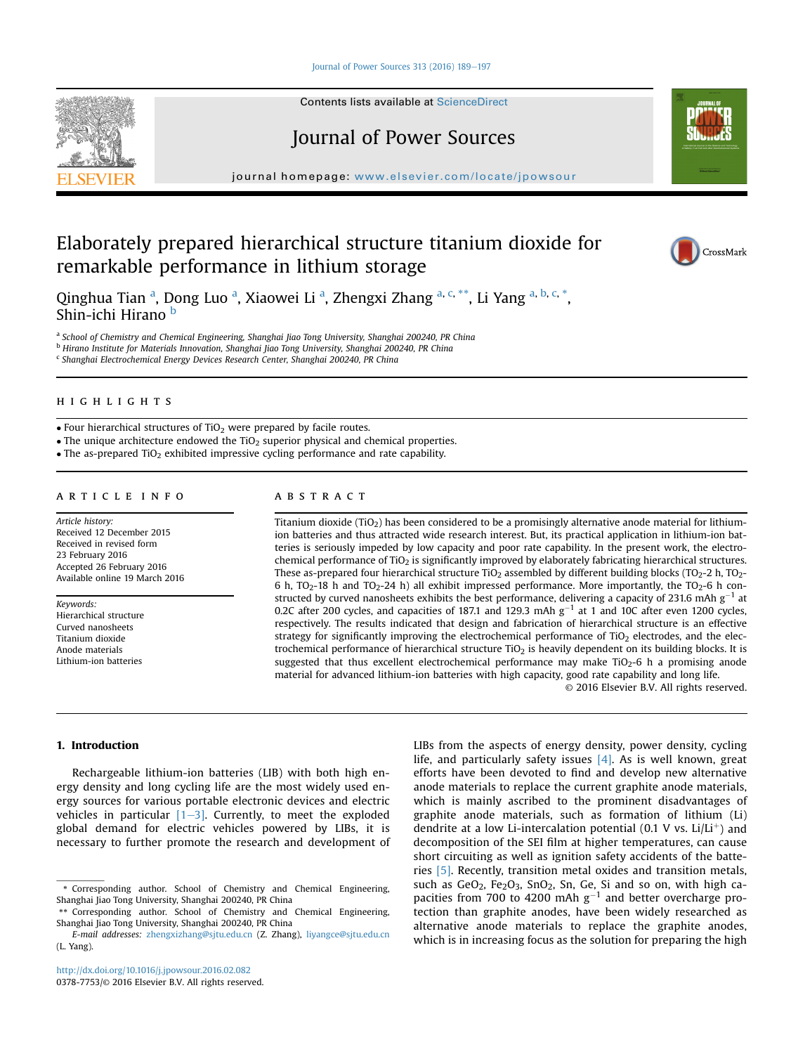### Journal of Power Sources 313 (2016)  $189-197$  $189-197$

Contents lists available at ScienceDirect

# Journal of Power Sources

journal homepage: [www.elsevier.com/locate/jpowsour](http://www.elsevier.com/locate/jpowsour)

## Elaborately prepared hierarchical structure titanium dioxide for remarkable performance in lithium storage



Qinghua Tian <sup>a</sup>, Dong Luo <sup>a</sup>, Xiaowei Li <sup>a</sup>, Zhengxi Zhang <sup>a, c,</sup> \*\*, Li Yang <sup>a, b, c,</sup> \*, Shin-ichi Hirano b

a School of Chemistry and Chemical Engineering, Shanghai Jiao Tong University, Shanghai 200240, PR China

<sup>b</sup> Hirano Institute for Materials Innovation, Shanghai Jiao Tong University, Shanghai 200240, PR China

 $c$  Shanghai Electrochemical Energy Devices Research Center, Shanghai 200240, PR China

### **HIGHLIGHTS**

 $\bullet$  Four hierarchical structures of TiO<sub>2</sub> were prepared by facile routes.

 $\bullet$  The unique architecture endowed the TiO<sub>2</sub> superior physical and chemical properties.

 $\bullet$  The as-prepared TiO<sub>2</sub> exhibited impressive cycling performance and rate capability.

## article info

Article history: Received 12 December 2015 Received in revised form 23 February 2016 Accepted 26 February 2016 Available online 19 March 2016

Keywords: Hierarchical structure Curved nanosheets Titanium dioxide Anode materials Lithium-ion batteries

## abstract

Titanium dioxide (TiO<sub>2</sub>) has been considered to be a promisingly alternative anode material for lithiumion batteries and thus attracted wide research interest. But, its practical application in lithium-ion batteries is seriously impeded by low capacity and poor rate capability. In the present work, the electrochemical performance of  $TiO<sub>2</sub>$  is significantly improved by elaborately fabricating hierarchical structures. These as-prepared four hierarchical structure TiO<sub>2</sub> assembled by different building blocks (TO<sub>2</sub>-2 h, TO<sub>2</sub>-6 h,  $TO_2-18$  h and  $TO_2-24$  h) all exhibit impressed performance. More importantly, the  $TO_2-6$  h constructed by curved nanosheets exhibits the best performance, delivering a capacity of 231.6 mAh  $g^{-1}$  at 0.2C after 200 cycles, and capacities of 187.1 and 129.3 mAh  $g^{-1}$  at 1 and 10C after even 1200 cycles, respectively. The results indicated that design and fabrication of hierarchical structure is an effective strategy for significantly improving the electrochemical performance of  $TiO<sub>2</sub>$  electrodes, and the electrochemical performance of hierarchical structure TiO<sub>2</sub> is heavily dependent on its building blocks. It is suggested that thus excellent electrochemical performance may make TiO<sub>2</sub>-6 h a promising anode material for advanced lithium-ion batteries with high capacity, good rate capability and long life.

© 2016 Elsevier B.V. All rights reserved.

### 1. Introduction

Rechargeable lithium-ion batteries (LIB) with both high energy density and long cycling life are the most widely used energy sources for various portable electronic devices and electric vehicles in particular  $[1-3]$  $[1-3]$  $[1-3]$ . Currently, to meet the exploded global demand for electric vehicles powered by LIBs, it is necessary to further promote the research and development of LIBs from the aspects of energy density, power density, cycling life, and particularly safety issues  $[4]$ . As is well known, great efforts have been devoted to find and develop new alternative anode materials to replace the current graphite anode materials, which is mainly ascribed to the prominent disadvantages of graphite anode materials, such as formation of lithium (Li) dendrite at a low Li-intercalation potential (0.1 V vs.  $Li/L<sup>+</sup>$ ) and decomposition of the SEI film at higher temperatures, can cause short circuiting as well as ignition safety accidents of the batteries [\[5\].](#page--1-0) Recently, transition metal oxides and transition metals, such as  $GeO_2$ ,  $Fe_2O_3$ ,  $SnO_2$ ,  $Sn$ ,  $Ge$ ,  $Si$  and so on, with high capacities from 700 to 4200 mAh  $g^{-1}$  and better overcharge protection than graphite anodes, have been widely researched as alternative anode materials to replace the graphite anodes, which is in increasing focus as the solution for preparing the high



<sup>\*</sup> Corresponding author. School of Chemistry and Chemical Engineering, Shanghai Jiao Tong University, Shanghai 200240, PR China

<sup>\*\*</sup> Corresponding author. School of Chemistry and Chemical Engineering, Shanghai Jiao Tong University, Shanghai 200240, PR China

E-mail addresses: [zhengxizhang@sjtu.edu.cn](mailto:zhengxizhang@sjtu.edu.cn) (Z. Zhang), [liyangce@sjtu.edu.cn](mailto:liyangce@sjtu.edu.cn) (L. Yang).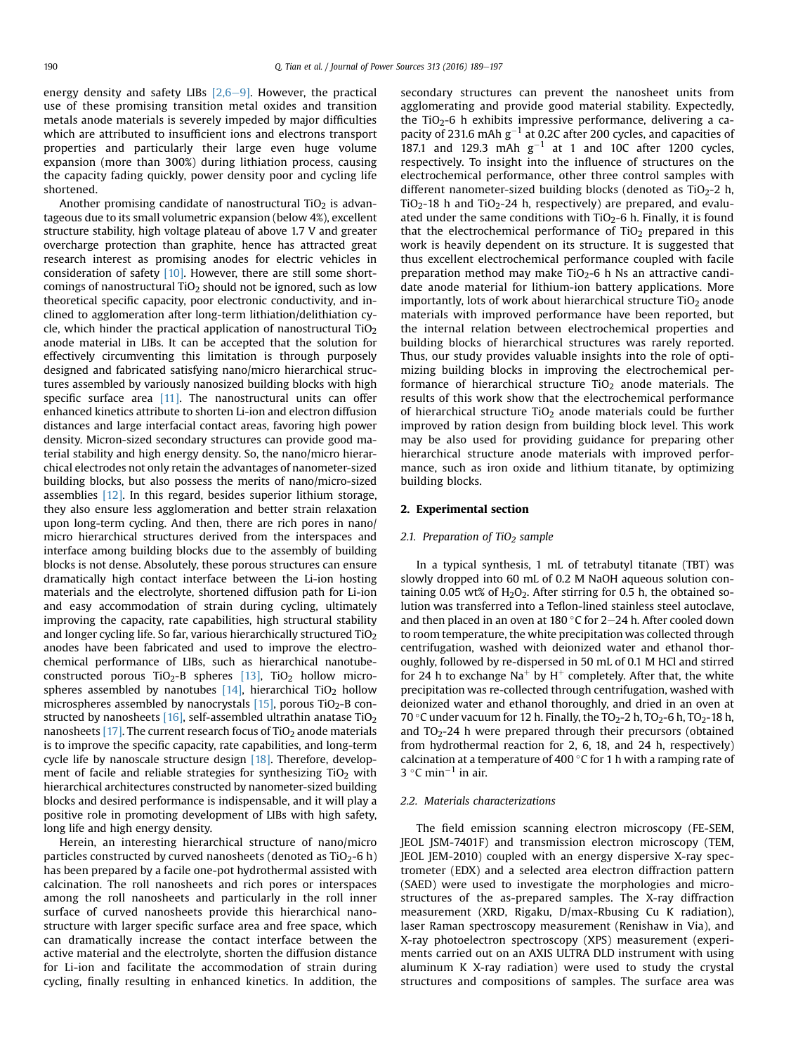energy density and safety LIBs  $[2,6-9]$  $[2,6-9]$  $[2,6-9]$ . However, the practical use of these promising transition metal oxides and transition metals anode materials is severely impeded by major difficulties which are attributed to insufficient ions and electrons transport properties and particularly their large even huge volume expansion (more than 300%) during lithiation process, causing the capacity fading quickly, power density poor and cycling life shortened.

Another promising candidate of nanostructural  $TiO<sub>2</sub>$  is advantageous due to its small volumetric expansion (below 4%), excellent structure stability, high voltage plateau of above 1.7 V and greater overcharge protection than graphite, hence has attracted great research interest as promising anodes for electric vehicles in consideration of safety [\[10\]](#page--1-0). However, there are still some shortcomings of nanostructural  $TiO<sub>2</sub>$  should not be ignored, such as low theoretical specific capacity, poor electronic conductivity, and inclined to agglomeration after long-term lithiation/delithiation cycle, which hinder the practical application of nanostructural  $TiO<sub>2</sub>$ anode material in LIBs. It can be accepted that the solution for effectively circumventing this limitation is through purposely designed and fabricated satisfying nano/micro hierarchical structures assembled by variously nanosized building blocks with high specific surface area [\[11\]](#page--1-0). The nanostructural units can offer enhanced kinetics attribute to shorten Li-ion and electron diffusion distances and large interfacial contact areas, favoring high power density. Micron-sized secondary structures can provide good material stability and high energy density. So, the nano/micro hierarchical electrodes not only retain the advantages of nanometer-sized building blocks, but also possess the merits of nano/micro-sized assemblies [\[12\]](#page--1-0). In this regard, besides superior lithium storage, they also ensure less agglomeration and better strain relaxation upon long-term cycling. And then, there are rich pores in nano/ micro hierarchical structures derived from the interspaces and interface among building blocks due to the assembly of building blocks is not dense. Absolutely, these porous structures can ensure dramatically high contact interface between the Li-ion hosting materials and the electrolyte, shortened diffusion path for Li-ion and easy accommodation of strain during cycling, ultimately improving the capacity, rate capabilities, high structural stability and longer cycling life. So far, various hierarchically structured TiO2 anodes have been fabricated and used to improve the electrochemical performance of LIBs, such as hierarchical nanotube-constructed porous TiO<sub>2</sub>-B spheres [\[13\]](#page--1-0), TiO<sub>2</sub> hollow microspheres assembled by nanotubes  $[14]$ , hierarchical TiO<sub>2</sub> hollow microspheres assembled by nanocrystals  $[15]$ , porous TiO<sub>2</sub>-B constructed by nanosheets  $[16]$ , self-assembled ultrathin anatase TiO<sub>2</sub> nanosheets [\[17\]](#page--1-0). The current research focus of  $TiO<sub>2</sub>$  anode materials is to improve the specific capacity, rate capabilities, and long-term cycle life by nanoscale structure design [\[18\].](#page--1-0) Therefore, development of facile and reliable strategies for synthesizing  $TiO<sub>2</sub>$  with hierarchical architectures constructed by nanometer-sized building blocks and desired performance is indispensable, and it will play a positive role in promoting development of LIBs with high safety, long life and high energy density.

Herein, an interesting hierarchical structure of nano/micro particles constructed by curved nanosheets (denoted as  $TiO<sub>2</sub> - 6 h$ ) has been prepared by a facile one-pot hydrothermal assisted with calcination. The roll nanosheets and rich pores or interspaces among the roll nanosheets and particularly in the roll inner surface of curved nanosheets provide this hierarchical nanostructure with larger specific surface area and free space, which can dramatically increase the contact interface between the active material and the electrolyte, shorten the diffusion distance for Li-ion and facilitate the accommodation of strain during cycling, finally resulting in enhanced kinetics. In addition, the secondary structures can prevent the nanosheet units from agglomerating and provide good material stability. Expectedly, the TiO<sub>2</sub>-6 h exhibits impressive performance, delivering a capacity of 231.6 mAh  $g^{-1}$  at 0.2C after 200 cycles, and capacities of 187.1 and 129.3 mAh  $g^{-1}$  at 1 and 10C after 1200 cycles, respectively. To insight into the influence of structures on the electrochemical performance, other three control samples with different nanometer-sized building blocks (denoted as  $TiO<sub>2</sub>-2$  h,  $TiO<sub>2</sub>$ -18 h and  $TiO<sub>2</sub>$ -24 h, respectively) are prepared, and evaluated under the same conditions with  $TiO<sub>2</sub>-6$  h. Finally, it is found that the electrochemical performance of  $TiO<sub>2</sub>$  prepared in this work is heavily dependent on its structure. It is suggested that thus excellent electrochemical performance coupled with facile preparation method may make  $TiO<sub>2</sub>-6$  h Ns an attractive candidate anode material for lithium-ion battery applications. More importantly, lots of work about hierarchical structure  $TiO<sub>2</sub>$  anode materials with improved performance have been reported, but the internal relation between electrochemical properties and building blocks of hierarchical structures was rarely reported. Thus, our study provides valuable insights into the role of optimizing building blocks in improving the electrochemical performance of hierarchical structure  $TiO<sub>2</sub>$  anode materials. The results of this work show that the electrochemical performance of hierarchical structure  $TiO<sub>2</sub>$  anode materials could be further improved by ration design from building block level. This work may be also used for providing guidance for preparing other hierarchical structure anode materials with improved performance, such as iron oxide and lithium titanate, by optimizing building blocks.

#### 2. Experimental section

### 2.1. Preparation of TiO<sub>2</sub> sample

In a typical synthesis, 1 mL of tetrabutyl titanate (TBT) was slowly dropped into 60 mL of 0.2 M NaOH aqueous solution containing 0.05 wt% of  $H_2O_2$ . After stirring for 0.5 h, the obtained solution was transferred into a Teflon-lined stainless steel autoclave, and then placed in an oven at 180  $\degree$ C for 2–24 h. After cooled down to room temperature, the white precipitation was collected through centrifugation, washed with deionized water and ethanol thoroughly, followed by re-dispersed in 50 mL of 0.1 M HCl and stirred for 24 h to exchange Na<sup>+</sup> by H<sup>+</sup> completely. After that, the white precipitation was re-collected through centrifugation, washed with deionized water and ethanol thoroughly, and dried in an oven at 70 °C under vacuum for 12 h. Finally, the TO<sub>2</sub>-2 h, TO<sub>2</sub>-6 h, TO<sub>2</sub>-18 h, and  $TO<sub>2</sub> - 24$  h were prepared through their precursors (obtained from hydrothermal reaction for 2, 6, 18, and 24 h, respectively) calcination at a temperature of 400  $\degree$ C for 1 h with a ramping rate of 3 °C min<sup>-1</sup> in air.

#### 2.2. Materials characterizations

The field emission scanning electron microscopy (FE-SEM, JEOL JSM-7401F) and transmission electron microscopy (TEM, JEOL JEM-2010) coupled with an energy dispersive X-ray spectrometer (EDX) and a selected area electron diffraction pattern (SAED) were used to investigate the morphologies and microstructures of the as-prepared samples. The X-ray diffraction measurement (XRD, Rigaku, D/max-Rbusing Cu K radiation), laser Raman spectroscopy measurement (Renishaw in Via), and X-ray photoelectron spectroscopy (XPS) measurement (experiments carried out on an AXIS ULTRA DLD instrument with using aluminum K X-ray radiation) were used to study the crystal structures and compositions of samples. The surface area was